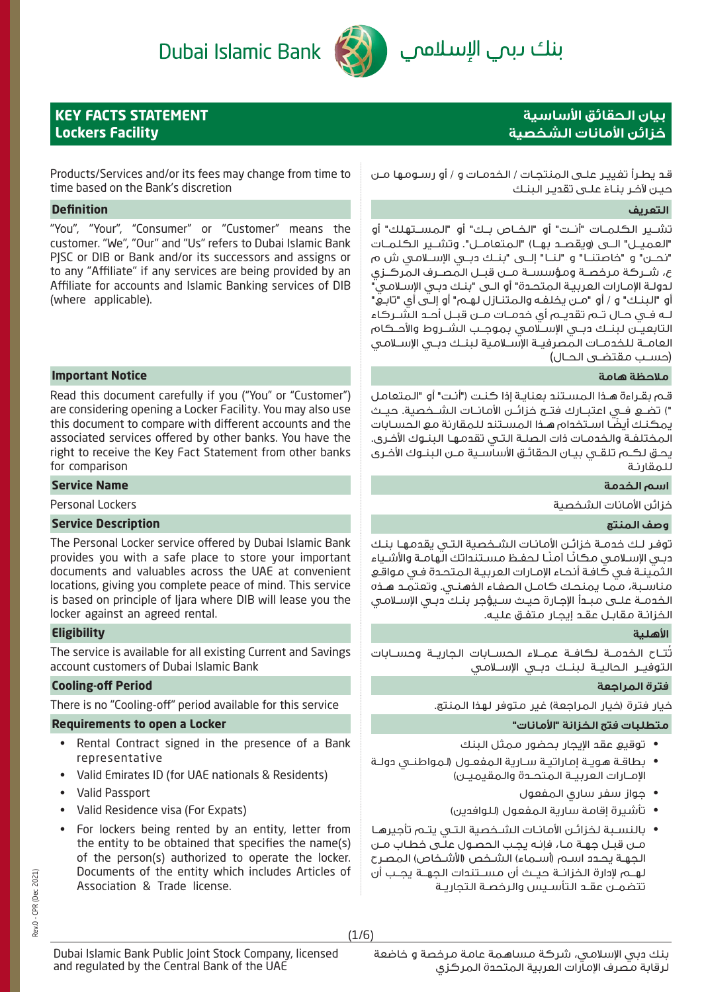# Dubai Islamic Bank



# بنك ىبمي الإسلاممي

# **KEY FACTS STATEMENT Lockers Facility**

# **بيان الحقائق اساسية خزائن امانات الشخصية**

Products/Services and/or its fees may change from time to time based on the Bank's discretion

# **التعريف Definition**

"You", "Your", "Consumer" or "Customer" means the customer. "We", "Our" and "Us" refers to Dubai Islamic Bank PJSC or DIB or Bank and/or its successors and assigns or to any "Affiliate" if any services are being provided by an Affiliate for accounts and Islamic Banking services of DIB (where applicable).

# **ملاحظة هامة Notice Important**

Read this document carefully if you ("You" or "Customer") are considering opening a Locker Facility. You may also use this document to compare with different accounts and the associated services offered by other banks. You have the right to receive the Key Fact Statement from other banks for comparison

# **اسم الخدمة Name Service**

# **وصف المنتج Description Service**

The Personal Locker service offered by Dubai Islamic Bank provides you with a safe place to store your important documents and valuables across the UAE at convenient locations, giving you complete peace of mind. This service is based on principle of Ijara where DIB will lease you the locker against an agreed rental.

# **اهلية Eligibility**

The service is available for all existing Current and Savings account customers of Dubai Islamic Bank

# **Cooling-off Period المراجعة فترة**

There is no "Cooling-off" period available for this service .المنتج لهذا متوفر غير) المراجعة خيار (فترة خيار

# **متطلبات فتح الخزانة "امانات" Locker a open to Requirements**

- Rental Contract signed in the presence of a Bank representative
- Valid Emirates ID (for UAE nationals & Residents)
- Valid Passport
- Valid Residence visa (For Expats)
- For lockers being rented by an entity, letter from the entity to be obtained that specifies the name(s) of the person(s) authorized to operate the locker. Documents of the entity which includes Articles of Association & Trade license.

Dubai Islamic Bank Public Joint Stock Company, licensed

and regulated by the Central Bank of the UAE

قـد يطـرأ تغييـر علـى المنتجـات / الخدمـات و / أو رسـومها مـن حيـن لآخـر بنـاءً علــى تقديـر البنـك

تشــير الكلمــات "أنــت" أو "الخــاص بــك" أو "المســتهلك" أو "العميــل" الــى (ويقصــد بهــا) "المتعامــل". وتشــير الكلمــات "نحــن" و "خاصتنــا" و "لنــا" إلــى "بنــك دبــي الإســلامي ش م ع، شــركة مرخصــة ومؤسســة مــن قبــل المصــرف المركــزي لدولـة الإمـارات العربيـة المتحـدة" أو الـى "بنـك دبـي الإسـلامي" أو "البنـك" و / أو "مـن يخلفـه والمتنـازل لهـم" أو إلـى أي "تابـع" لــه فــي حــال تــم تقديــم أي خدمــات مــن قبــل أحــد الشــركاء التابعيــن لبنــك دبــي الإســلامي بموجــب الشــروط والأحــكام العامــة للخدمــات المصرفيــة الإســلامية لبنــك دبــي الإســلامي (حســب مقتضــى الحــال)

قـم بقـراءة هـذا المسـتند بعنايـة إذا كنـت ("أنـت" أو "المتعامل ") تضــع فــي اعتبــارك فتــح خزائــن الأمانــات الشــخصية . حيــث ً يمكنـك أيضـا اسـتخدام هـذا المسـتند للمقارنة مع الحسـابات المختلفـة والخدمـات ذات الصلـة التـي تقدمهـا البنـوك الأخـرى. يحـق لكـم تلقـي بيـان الحقائـق الأساسـية مـن البنـوك الأخـرى للمقارنـة

خزائن الأمانات الشخصية Lockers Personal

توفـر لـك خدمـة خزائـن الأمانـات الشـخصية التـي يقدمهـا بنـك دبـي الإسـلامـي مـكانًـا آمنًـا لـحفـظ مسـتنداتك الهامـة والأشـياء الثمينـة فـي كافـة أنحـاء الإمـارات العربيـة المتحـدة فـي مواقـع مناسـبة، ممـا يمنحـك كامـل الصفـاء الذهنـي. وتعتمـد هـذه الخدمـة علـى مبـدأ الإجـارة حيـث سـيؤجر بنـك دبـي الإسـلامي الخزانـة مقابـل عقـد إيجـار متفـق عليـه.

تُتــاح الخدمــة لكافــة عمــلاء الحســابات الجاريــة وحســابات التوفيــر الحاليــة لبنــك دبــي الإســلامي

- توقيع عقد الإيجار بحضور ممثل البنك
- بطاقـة هويـة إماراتيـة سـارية المفعـول (لمواطنـي دولـة الإمــارات العربيــة المتحــدة والمقيميــن)
	- جواز سفر ساري المفعول
	- تأشيرة إقامة سارية المفعول (للوافدين)
- بالنسـبة لخزائـن الأمانـات الشـخصية التـي يتـم تأجيرهـا مـن قبـل جهـة مـا، فإنـه يجـب الحصـول علـى خطـاب مـن الجهـة يحـدد اسـم (أسـماء) الشـخص (الأشـخاص) المصـرح لهــم لإدارة الخزانــة حيــث أن مســتندات الجهــة يجــب أن تتضمــن عقــد التأســيس والرخصــة التجاريــة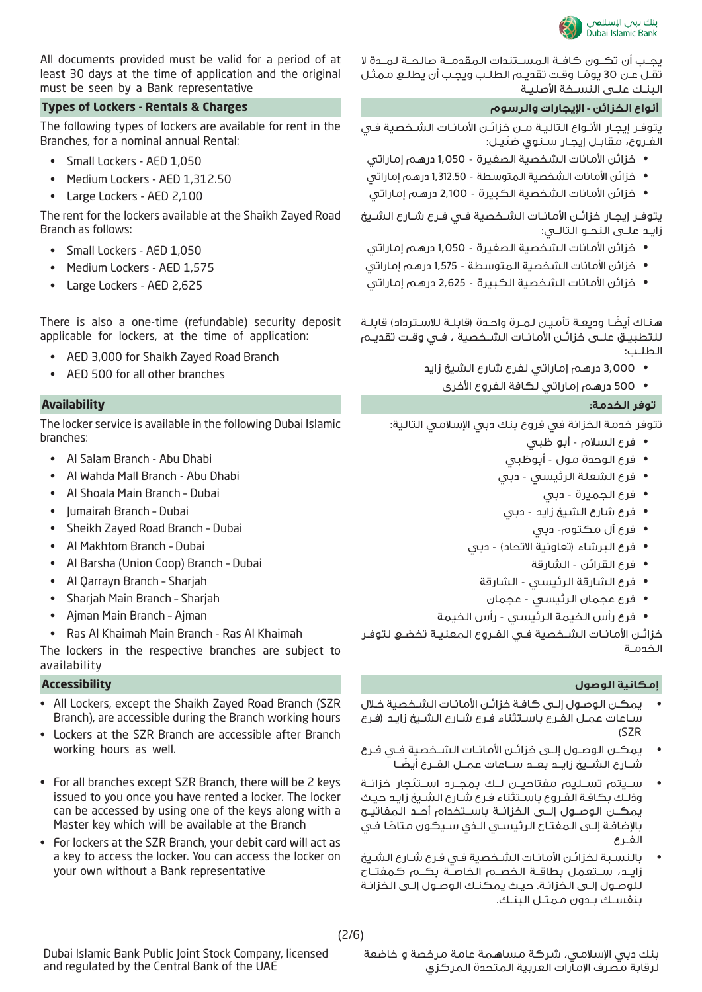

يجــب أن تكــون كافــة المســتندات المقدمــة صالحــة لمــدة لا تقـل عـن 30 يومـا وقـت تقديـم الطلـب ويجـب أن يطلـع ممثـل البنـك علـى النسـخة الأصليـة ً

يتوفـر إيجـار الأنـواع التاليـة مـن خزائـن الأمانـات الشـخصية فـي الفـروع، مقابـل إيجـار سـنوي ضئيـل:

- خزائن الأمانات الشخصية الصغيرة 1,050 درهم إماراتي
- خزائن الأمانات الشخصية المتوسطة 1,312.50 درهم إماراتي
- خزائن الأمانات الشخصية الكبيرة 2,100 درهم إماراتي

يتوفـر إيجـار خزائـن الأمانـات الشـخصية فـي فـرع شـارع الشـيخ زايـد علـى النحـو التالـي:

- خزائن الأمانات الشخصية الصغيرة 1,050 درهم إماراتي
- خزائن الأمانات الشخصية المتوسطة 1,575 درهم إماراتي
- خزائن الأمانات الشخصية الكبيرة 2,625 درهم إماراتي

ً هنـاك أيضـا وديعـة تأميـن لمـرة واحـدة (قابلـة للاسـترداد) قابلـة للتطبيــق علــى خزائــن الأمانــات الشــخصية ، فــي وقــت تقديــم الطلـب:

- 3,000 درهم إماراتي لفرع شارع الشيخ زايد
	- 500 درهم إماراتي لكافة الفروع الأخرى

# **توفر الخدمة: Availability**

تتوفر خدمة الخزانة في فروع بنك دبي الإسلامي التالية:

- فرع السلام أبو ظبي
- فرع الوحدة مول أبوظبي
- فرع الشعلة الرئيسي دبي
	- فرع الجميرة دبي
- فرع شارع الشيخ زايد دبي
	- فرع آل مكتوم- دبي
- فرع البرشاء (تعاونية الاتحاد) دبي
	- فرع القرائن الشارقة
	- فرع الشارقة الرئيسي الشارقة
	- فرع عجمان الرئيسي عجمان
- فرع رأس الخيمة الرئيسي رأس الخيمة

خزائـن الأمانـات الشــخصية فــي الفــروع المعنيــة تخضــع لتوفـر الخدمـة

# **إمكانية الوصول Accessibility**

- يمكـن الوصـول إلـى كافـة خزائـن الأمانـات الشـخصية خـلال سـاعات عمـل الفـرع باسـتثناء فـرع شـارع الشـيخ زايـد (فـرع (SZR
- يمكــن الوصــول إلــى خزائــن الأمانــات الشــخصية فــي فــرع ً شــارع الشــيخ زايــد بعــد ســاعات عمــل الفــرع أيضــا
- ســيتم تســليم مفتاحيــن لــك بمجــرد اســتئجار خزانــة وذلـك بكافـة الفـروع باسـتثناء فـرع شـارع الشـيخ زايـد حيـث يمكــن الوصــول إلــى الخزانــة باســتخدام أحــد المفاتيــح ً بالإضافـة إلـى المفتـاح الرئيسـي الـذي سـيكون متاحـا فـي الفــرع
- بالنسـبة لخزائـن الأمانـات الشـخصية فـي فـرع شـارع الشـيخ زايــد، ســتعمل بطاقــة الخصــم الخاصــة بكــم كمفتــاح للوصـول إلـى الخزانـة. حيـث يمكنـك الوصـول إلـى الخزانـة بنفســك بــدون ممثــل البنــك.

All documents provided must be valid for a period of at least 30 days at the time of application and the original must be seen by a Bank representative

# **أنواع الخزائن - ا5يجارات والرسوم Charges & Rentals - Lockers of Types**

The following types of lockers are available for rent in the Branches, for a nominal annual Rental:

- Small Lockers AED 1,050
- Medium Lockers AED 1,312.50
- Large Lockers AED 2,100

The rent for the lockers available at the Shaikh Zayed Road Branch as follows:

- Small Lockers AED 1,050
- Medium Lockers AED 1,575
- Large Lockers AED 2,625

There is also a one-time (refundable) security deposit applicable for lockers, at the time of application:

- AED 3,000 for Shaikh Zayed Road Branch
- AED 500 for all other branches

The locker service is available in the following Dubai Islamic branches:

- Al Salam Branch Abu Dhabi
- Al Wahda Mall Branch Abu Dhabi
- Al Shoala Main Branch Dubai
- Jumairah Branch Dubai
- Sheikh Zayed Road Branch Dubai
- Al Makhtom Branch Dubai
- Al Barsha (Union Coop) Branch Dubai
- Al Qarrayn Branch Sharjah
- Sharjah Main Branch Sharjah
- Ajman Main Branch Ajman
- Ras Al Khaimah Main Branch Ras Al Khaimah

The lockers in the respective branches are subject to availability

- All Lockers, except the Shaikh Zayed Road Branch (SZR Branch), are accessible during the Branch working hours
- Lockers at the SZR Branch are accessible after Branch working hours as well.
- For all branches except SZR Branch, there will be 2 keys issued to you once you have rented a locker. The locker can be accessed by using one of the keys along with a Master key which will be available at the Branch
- For lockers at the SZR Branch, your debit card will act as a key to access the locker. You can access the locker on your own without a Bank representative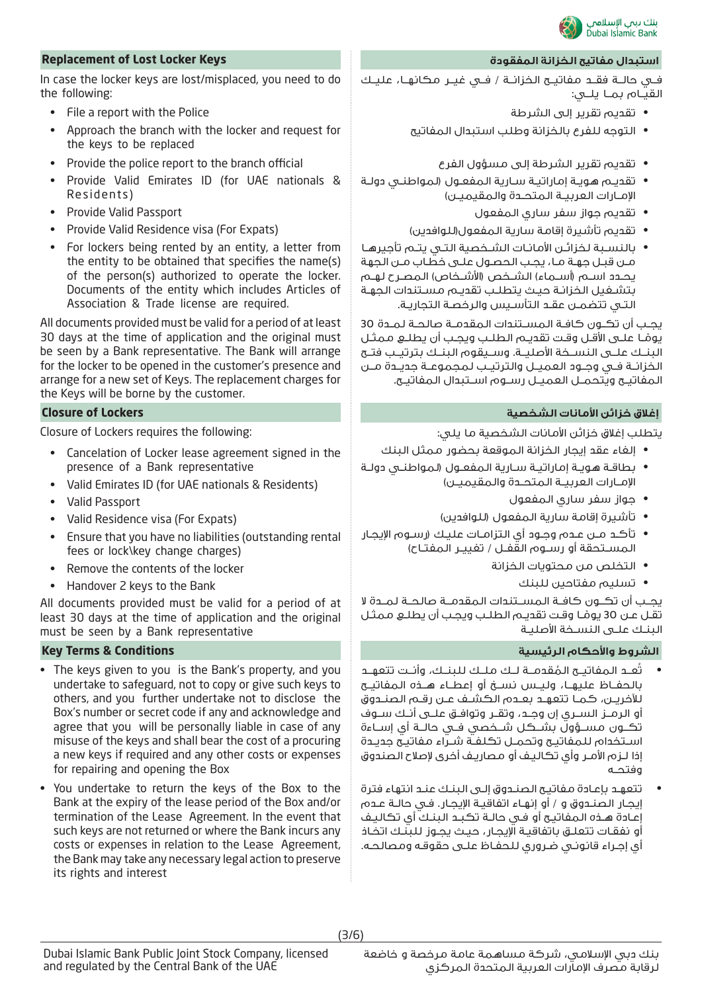

# **Replacement of Lost Locker Keys المفقودة الخزانة مفاتيح استبدال**

In case the locker keys are lost/misplaced, you need to do the following:

- File a report with the Police
- Approach the branch with the locker and request for the keys to be replaced
- Provide the police report to the branch official
- Provide Valid Emirates ID (for UAE nationals & Residents)
- Provide Valid Passport
- Provide Valid Residence visa (For Expats)
- For lockers being rented by an entity, a letter from the entity to be obtained that specifies the name(s) of the person(s) authorized to operate the locker. Documents of the entity which includes Articles of Association & Trade license are required.

All documents provided must be valid for a period of at least 30 days at the time of application and the original must be seen by a Bank representative. The Bank will arrange for the locker to be opened in the customer's presence and arrange for a new set of Keys. The replacement charges for the Keys will be borne by the customer.

Closure of Lockers requires the following:

- Cancelation of Locker lease agreement signed in the presence of a Bank representative
- Valid Emirates ID (for UAE nationals & Residents)
- Valid Passport
- Valid Residence visa (For Expats)
- Ensure that you have no liabilities (outstanding rental fees or lock\key change charges)
- Remove the contents of the locker
- Handover 2 keys to the Bank

All documents provided must be valid for a period of at least 30 days at the time of application and the original must be seen by a Bank representative

- The keys given to you is the Bank's property, and you undertake to safeguard, not to copy or give such keys to others, and you further undertake not to disclose the Box's number or secret code if any and acknowledge and agree that you will be personally liable in case of any misuse of the keys and shall bear the cost of a procuring a new keys if required and any other costs or expenses for repairing and opening the Box
- You undertake to return the keys of the Box to the Bank at the expiry of the lease period of the Box and/or termination of the Lease Agreement. In the event that such keys are not returned or where the Bank incurs any costs or expenses in relation to the Lease Agreement, the Bank may take any necessary legal action to preserve its rights and interest

فــي حالــة فقــد مفاتيــح الخزانــة / فــي غيــر مكانهــا، عليــك القيــام بمــا يلــي:

- تقديم تقرير إلى الشرطة
- التوجه للفرع بالخزانة وطلب استبدال المفاتيح
	- تقديم تقرير الشرطة إلى مسؤول الفرع
- تقديـم هويـة إماراتيـة سـارية المفعـول (لمواطنـي دولـة الإمــارات العربيــة المتحــدة والمقيميــن)
	- تقديم جواز سفر ساري المفعول
	- تقديم تأشيرة إقامة سارية المفعول(للوافدين)
- بالنسـبة لخزائـن الأمانـات الشـخصية التـي يتـم تأجيرهـا مـن قبـل جهـة مـا، يجـب الحصـول علـى خطـاب مـن الجهة يحـدد اسـم (أســماء) الشــخص (الأشــخاص) المصـرح لهـم بتشـغيل الخزانـة حيـث يتطلـب تقديـم مسـتندات الجهـة التـي تتضمـن عقـد التأسـيس والرخصـة التجاريـة.

يجــب أن تكــون كافــة المســتندات المقدمــة صالحــة لمــدة 30 يومـا علـى الأقـل وقـت تقديـم الطلـب ويجـب أن يطلـع ممثـل البنــك علــى النســخة الأصليــة. وســيقوم البنــك بترتيــب فتــح ً الخزانــة فــي وجــود العميــل والترتيــب لمجموعــة جديــدة مــن المفاتيــح ويتحمــل العميــل رســوم اســتبدال المفاتيــح.

### **إغلاق خزائن امانات الشخصية Lockers of Closure**

يتطلب إغلاق خزائن الأمانات الشخصية ما يلي:

- إلغاء عقد إيجار الخزانة الموقعة بحضور ممثل البنك
- بطاقـة هويـة إماراتيـة سـارية المفعـول (لمواطنـي دولـة الإمــارات العربيــة المتحــدة والمقيميــن)
	- جواز سفر ساري المفعول
	- تأشيرة إقامة سارية المفعول (للوافدين)
- تأكـد مـن عـدم وجـود أي التزامـات عليـك (رسـوم الإيجـار المســتحقة أو رســوم القفــل / تغييــر المفتــاح)
	- التخلص من محتويات الخزانة
		- تسليم مفتاحين للبنك

يجــب أن تكــون كافــة المســتندات المقدمــة صالحــة لمــدة لا تقـل عـن 30 يومـا وقـت تقديـم الطلـب ويجـب أن يطلـع ممثـل البنـك علـى النسـخة الأصليـة ً

# **الشروط واحكام الرئيسية Conditions & Terms Key**

- تُ ُ عــد المفاتيــح المقدمــة لــك ملــك للبنــك، وأنــت تتعهــد بالحفــاظ عليهــا، وليــس نســخ أو إعطــاء هــذه المفاتيــح للآخريــن، كمــا تتعهــد بعــدم الكشــف عــن رقــم الصنــدوق أو الرمــز الســري إن وجــد، وتقــر وتوافــق علــى أنــك ســوف تكــون مســؤول بشــكل شــخصي فــي حالــة أي إســاءة اسـتخدام للمفاتيـح وتحمـل تكلفـة شـراء مفاتيـح جديـدة إذا لـزم الأمـر وأي تكاليـف أو مصاريـف أخرى لإصلاح الصندوق وفتحــه
- تتعهـد بإعـادة مفاتيـح الصنـدوق إلـى البنـك عنـد انتهاء فترة إيجـار الصنـدوق و / أو إنهـاء اتفاقيـة الإيجـار. فـي حالـة عـدم إعـادة هـذه المفاتيـح أو فـي حالـة تكبـد البنـك أي تكاليـف أو نفقـات تتعلـق باتفاقيـة الإيجـار، حيـث يجـوز للبنـك اتخـاذ أي إجـراء قانونـي ضـروري للحفـاظ علـى حقوقـه ومصالحـه.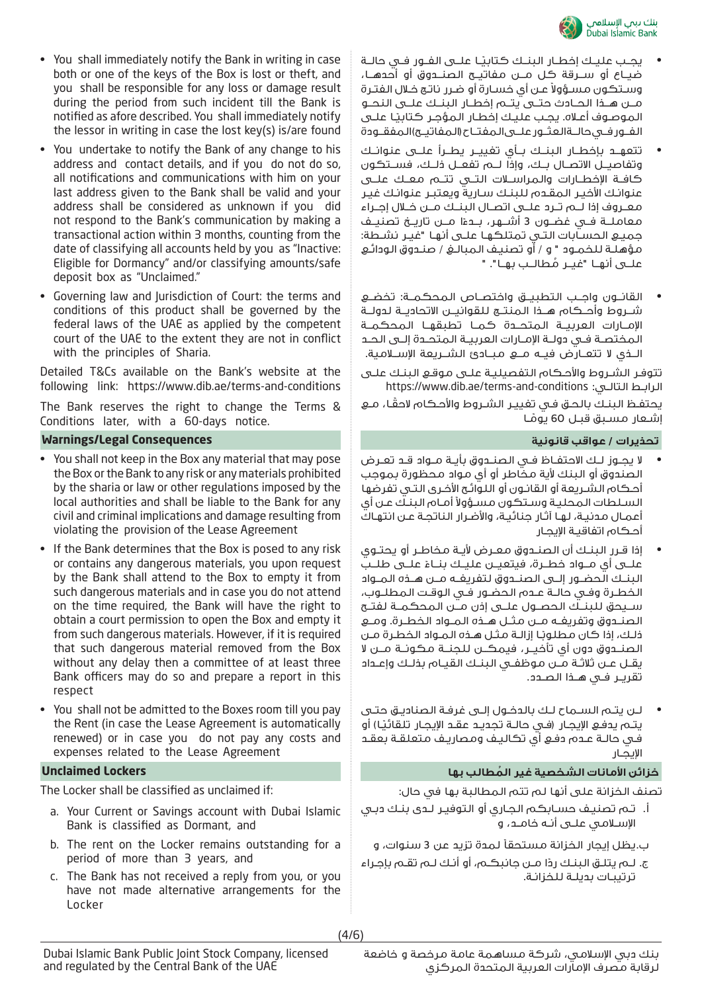

- يجـب عليـك إخطــار البنــك كتابيـًـا علــى الفــور فــي حالــة ضيــاع أو ســرقة كل مــن مفاتيــح الصنــدوق أو أحدهــا، وسـتكون مسـؤولاً عـن أي خسـارة أو ضـرر ناتـج خـلال الفتـرة مــن هــذا الحــادث حتــى يتــم إخطــار البنــك علــى النحــو الموصـوف أعـلاه. يجـب عليـك إخطـار المؤجـر كـتابيـًا علــى الفــور فــي حالــة العثــور علــى المفتــاح (المفاتيــح) المفقــودة
- تتعهــد بإخطــار البنــك بــأي تغييــر يطــرأ علــى عنوانــك وتفاصيــل الاتصــال بــك، وإذا لــم تفعــل ذلــك، فســتكون كافــة الإخطــارات والمراســلات التــي تتــم معــك علــى عنوانـك الأخيـر المقـدم للبنـك سـارية ويعتبـر عنوانـك غيـر معــروف إذا لــم تــرد علــى اتصــال البنــك مــن خــلال إجــراء معاملـــة فــي غضــون 3 أشـــهر، بـــحـءًا مــِــن تاريـــخ تصنيـــف جميـع الحسـابات التـي تمتلكهـا علـى أنهـا "غيـر نشـطة: مؤهلـة للخمـود " و / أو تصنيـف المبالـغ / صنـدوق الودائـع ُ علــى أنهــا "غيــر مطالــب بهــا". "
- القانــون واجــب التطبيــق واختصــاص المحكمــة: تخضــع شــروط وأحــكام هــذا المنتــج للقوانيــن الاتحاديــة لدولــة الإمــارات العربيــة المتحــدة كمــا تطبقهــا المحكمــة المختصــة فــي دولــة الإمــارات العربيــة المتحــدة إلــى الحــد الــذي لا تتعــارض فيــه مــع مبــادئ الشــريعة الإســلامية.

تتوفـر الشـروط والأحـكام التفصيليـة علـى موقـع البنـك علـى https://www.dib.ae/terms-and-conditions :التالـي الرابـط

ً يحتفـظ البنـك بالحـق فـي تغييـر الشـروط والأحـكام لاحقـا، مـع إشـعار مسـبق قبـل 60 يومـا **ا** 

- لا يجــوز لــك الاحتفــاظ فــي الصنــدوق بأيــة مــواد قــد تعــرض الصندوق أو البنك لأية مخاطر أو أي مواد محظورة بموجب أحـكام الشـريعة أو القانـون أو اللوائـح الأخـرى التـي تفرضها السـلطات المحليـة وسـتكون مسـؤولاً أمـام البنـك عـن أي أعمـال مدنيـة، لهـا آثـار جنائيـة، والأضـرار الناتجـة عـن انتهـاك أحـكام اتفاقيـة الإيجـار
- إذا قـرر البنـك أن الصنـدوق معـرض لأيـة مخاطـر أو يحتـوي علـــى أي مــواد خطــرة، فيتعيــن عليــك بنــاءْ علـــى طلــب البنــك الحضــور إلــى الصنــدوق لتفريغــه مــن هــذه المــواد الخطــرة وفــي حالــة عــدم الحضــور فــي الوقــت المطلــوب، ســيحق للبنــك الحصــول علــى إذن مــن المحكمــة لفتــح الصنــدوق وتفريغــه مــن مثــل هــذه المــواد الخطــرة. ومــع ثلـك، إذا كان مطلوبًـا إزالـة مثـل هـذه المـواد الخطـرة مـن الصنــدوق دون أي تأخيــر، فيمكــن للجنــة مكونــة مــن لا يقــل عــن ثلاثــة مــن موظفــي البنــك القيــام بذلــك وإعــداد تقريــر فــي هــذا الصــدد.
- لـن يتـم السـماح لـك بالدخـول إلـى غرفـة الصناديـق حتـى يتــم يـدفــع الإيجــار (فــبي حالــة تجديــد عـقــد الإيجــار تـلـقائيـًا) أو فـي حالـة عـدم دفـع أي تكاليـف ومصاريـف متعلقـة بعقـد الإيجـار

# خزائن الأمانات الشخصية غير المُطالب بها

تصنف الخزانة على أنها لم تتم المطالبة بها في حال:

أ. تـم تصنيـف حسـابكم الجـاري أو التوفيـر لـدى بنـك دبـي الإسـلامي علـى أنـه خامـد، و

ب. يظل إيجار الخزانة مستحقاً لمدة تزيد عن 3 سنوات، و

ج. لــم يتلـق البنـك ردًا مــن جانبكــم، أو أنـك لــم تقـم بإجـراء ترتيبـات بديلـة للخزانـة.

- You shall immediately notify the Bank in writing in case both or one of the keys of the Box is lost or theft, and you shall be responsible for any loss or damage result during the period from such incident till the Bank is notified as afore described. You shall immediately notify the lessor in writing in case the lost key(s) is/are found
- You undertake to notify the Bank of any change to his address and contact details, and if you do not do so, all notifications and communications with him on your last address given to the Bank shall be valid and your address shall be considered as unknown if you did not respond to the Bank's communication by making a transactional action within 3 months, counting from the date of classifying all accounts held by you as "Inactive: Eligible for Dormancy" and/or classifying amounts/safe deposit box as "Unclaimed."
- Governing law and Jurisdiction of Court: the terms and conditions of this product shall be governed by the federal laws of the UAE as applied by the competent court of the UAE to the extent they are not in conflict with the principles of Sharia.

Detailed T&Cs available on the Bank's website at the following link: https://www.dib.ae/terms-and-conditions

The Bank reserves the right to change the Terms & Conditions later, with a 60-days notice.

# **تحذيرات / عواقب قانونية Consequences Legal/Warnings**

- You shall not keep in the Box any material that may pose the Box or the Bank to any risk or any materials prohibited by the sharia or law or other regulations imposed by the local authorities and shall be liable to the Bank for any civil and criminal implications and damage resulting from violating the provision of the Lease Agreement
- If the Bank determines that the Box is posed to any risk or contains any dangerous materials, you upon request by the Bank shall attend to the Box to empty it from such dangerous materials and in case you do not attend on the time required, the Bank will have the right to obtain a court permission to open the Box and empty it from such dangerous materials. However, if it is required that such dangerous material removed from the Box without any delay then a committee of at least three Bank officers may do so and prepare a report in this respect
- You shall not be admitted to the Boxes room till you pay the Rent (in case the Lease Agreement is automatically renewed) or in case you do not pay any costs and expenses related to the Lease Agreement

### **Unclaimed Lockers**

The Locker shall be classified as unclaimed if:

- a. Your Current or Savings account with Dubai Islamic Bank is classified as Dormant, and
- b. The rent on the Locker remains outstanding for a period of more than 3 years, and
- c. The Bank has not received a reply from you, or you have not made alternative arrangements for the Locker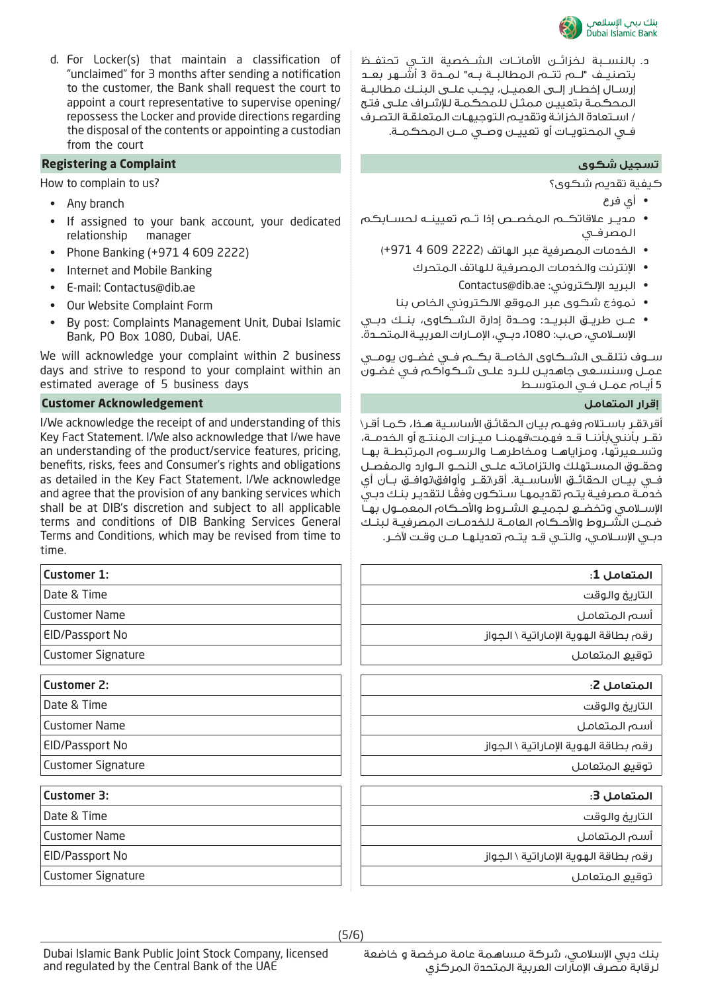

د.بالنســبة لخزائــن الأمانــات الشــخصية التــي تحتفــظ بتصنيــف "لــم تتــم المطالبــة بــه" لمــدة 3 أشــهر بعــد إرســال إخطــار إلــى العميــل، يجــب علــى البنــك مطالبــة المحكمـة بتعييـن ممثـل للمحكمـة للإشـراف علـى فتـح / اسـتعادة الخزانـة وتقديـم التوجيهـات المتعلقـة التصـرف فــي المحتويــات أو تعييــن وصــي مــن المحكمــة.

- كيفية تقديم شكوى؟
	- أي فرع
- مديــر علاقاتكــم المخصــص إذا تــم تعيينــه لحســابكم المصرفــي
	- الخدمات المصرفية عبر الهاتف (2222 609 4 +971)
		- الإنترنت والخدمات المصرفية للهاتف المتحرك
			- Contactus@dib.ae :الإلكتروني البريد•
		- نموذج شكوى عبر الموقع الالكتروني الخاص بنا
- عــن طريــق البريــد: وحــدة إدارة الشــكاوى، بنــك دبــي الإســلامي، ص.ب: ،1080 دبــي، الإمــارات العربيــة المتحــدة.

ســوف نتلقــى الشــكاوى الخاصــة بكــم فــي غضــون يومــي عمـل وسنسـعى جاهديـن للـرد علـى شـكواكم فـي غضـون 5 أيــام عمــل فــي المتوســط

أقر\نقـر باسـتلام وفهـم بيـان الحقائـق الأساسـية هـذا، كمـا أقـر\ نقــر بأنني\بأننــا قــد فهمت\فهمنــا ميــزات المنتــج أو الخدمــة، وتســعيرتها، ومزاياهــا ومخاطرهــا والرســوم المرتبطــة بهــا وحقــوق المســتهلك والتزاماتــه علــى النحــو الــوارد والمفصــل فــي بيــان الحقائــق الأساســية. أقر\نقــر وأوافق\نوافــق بــأن أي ً خدمـة مصرفيـة يتـم تقديمهـا سـتكون وفقـا لتقديـر بنـك دبـي الإســلامي وتخضــع لجميــع الشــروط والأحــكام المعمــول بهــا ضمــن الشــروط والأحــكام العامــة للخدمــات المصرفيــة لبنــك دبــي الإســلامي، والتــي قــد يتــم تعديلهــا مــن وقــت لآخــر.

|       | المتعامل 1:                          |
|-------|--------------------------------------|
|       | التاريخ والوقت                       |
| ∍     | أسم المتعامل                         |
| 0     | رقم بطاقة الهوية الإماراتية \ الجواز |
| ature | توقيع المتعامل                       |
|       | المتعامل 2:                          |
|       | التاريخ والوقت                       |
| ∍     | أسم المتعامل                         |
| 0     | رقم بطاقة الهوية الإماراتية \ الجواز |
| ature | توقيع المتعامل                       |
|       | المتعامل 3:                          |
|       | التاريخ والوقت                       |
| ∍     | أسم المتعامل                         |
| 0     | رقم بطاقة الهوية الإماراتية \ الجواز |
| ature | توقيع المتعامل                       |
|       |                                      |

d. For Locker(s) that maintain a classification of "unclaimed" for 3 months after sending a notification to the customer, the Bank shall request the court to appoint a court representative to supervise opening/ repossess the Locker and provide directions regarding the disposal of the contents or appointing a custodian from the court

## **Registering a Complaint شكوى تسجيل**

How to complain to us?

- Any branch
- If assigned to your bank account, your dedicated relationship manager
- Phone Banking (+971 4 609 2222)
- Internet and Mobile Banking
- E-mail: Contactus@dib.ae
- Our Website Complaint Form
- By post: Complaints Management Unit, Dubai Islamic Bank, PO Box 1080, Dubai, UAE.

We will acknowledge your complaint within 2 business days and strive to respond to your complaint within an estimated average of 5 business days

### **إقرار المتعامل Acknowledgement Customer**

I/We acknowledge the receipt of and understanding of this Key Fact Statement. I/We also acknowledge that I/we have an understanding of the product/service features, pricing, benefits, risks, fees and Consumer's rights and obligations as detailed in the Key Fact Statement. I/We acknowledge and agree that the provision of any banking services which shall be at DIB's discretion and subject to all applicable terms and conditions of DIB Banking Services General Terms and Conditions, which may be revised from time to time.

| <b>Customer 1:</b>        |  |
|---------------------------|--|
| Date & Time               |  |
| <b>Customer Name</b>      |  |
| <b>EID/Passport No</b>    |  |
| <b>Customer Signature</b> |  |
|                           |  |
| <b>Customer 2:</b>        |  |
| Date & Time               |  |
| <b>Customer Name</b>      |  |
| <b>EID/Passport No</b>    |  |
| <b>Customer Signature</b> |  |
|                           |  |
| <b>Customer 3:</b>        |  |
| Date & Time               |  |
| <b>Customer Name</b>      |  |
| <b>EID/Passport No</b>    |  |
| <b>Customer Signature</b> |  |